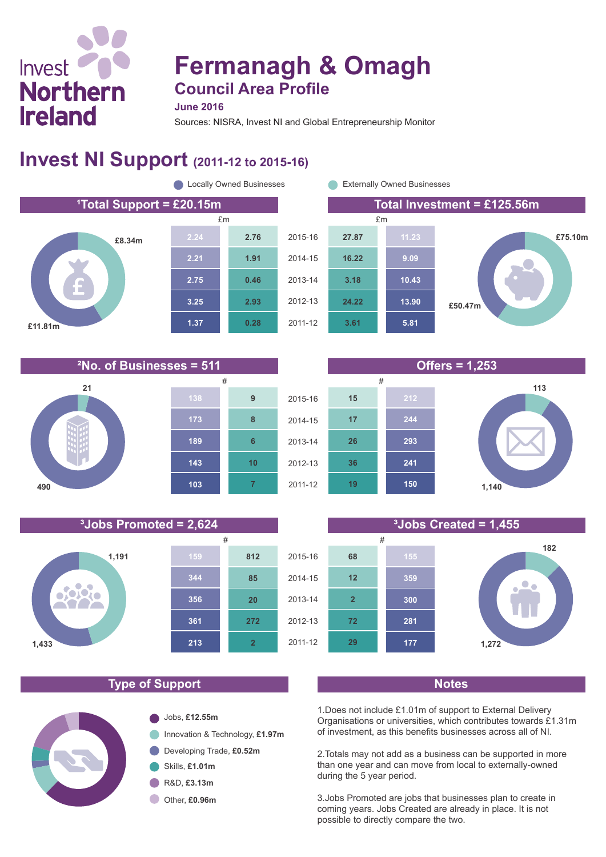# **Fermanagh & Omagh Council Area Profile**

**June 2016**

Sources: NISRA, Invest NI and Global Entrepreneurship Monitor

## **Invest NI Support (2011-12 to 2015-16)**











#### **Type of Support Notes**

**361**

**213**

**2**

**272**

**20**

**85**

**812**

**356**

**344**

**1,191**

**1,433**

ofoldio **MY** 

Invest

**Northern** 

**Ireland** 



1.Does not include £1.01m of support to External Delivery Organisations or universities, which contributes towards £1.31m of investment, as this benefits businesses across all of NI.

2.Totals may not add as a business can be supported in more than one year and can move from local to externally-owned during the 5 year period.

3.Jobs Promoted are jobs that businesses plan to create in coming years. Jobs Created are already in place. It is not possible to directly compare the two.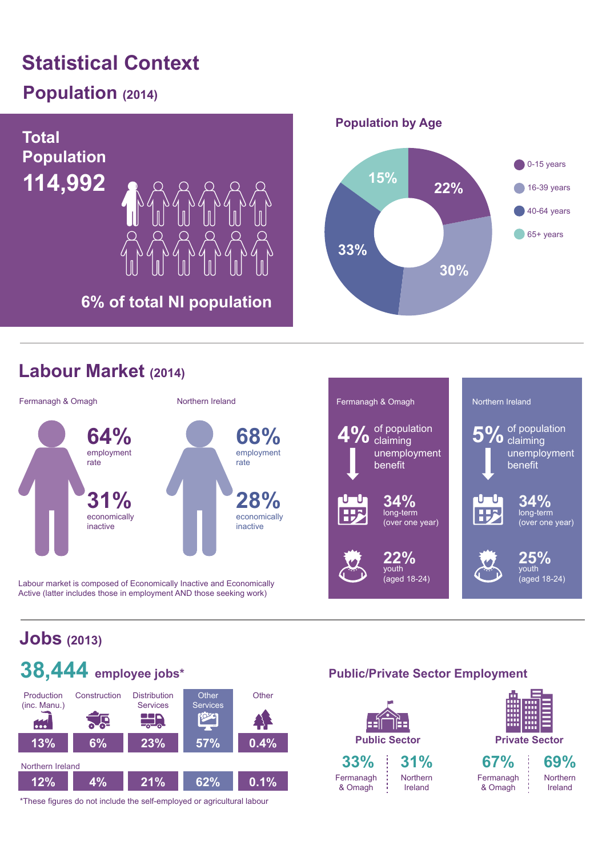# **Statistical Context**

## **Population (2014)**



## **Labour Market (2014)**



Labour market is composed of Economically Inactive and Economically Active (latter includes those in employment AND those seeking work)



## **Jobs (2013)**



\*These figures do not include the self-employed or agricultural labour

### **Public/Private Sector Employment**

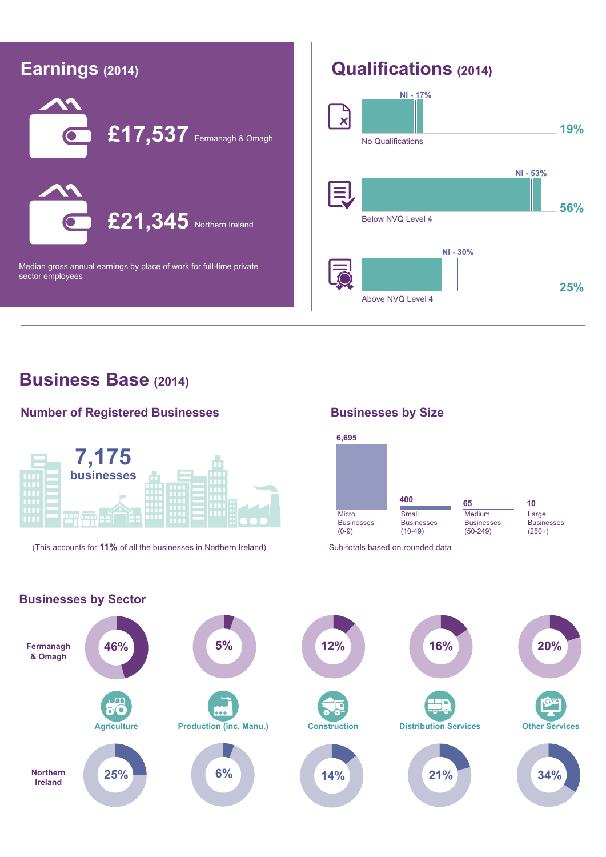

## **Business Base (2014)**

#### **Number of Registered Businesses**



(This accounts for **11%** of all the businesses in Northern Ireland) Sub-totals based on rounded data

#### **Businesses by Size**